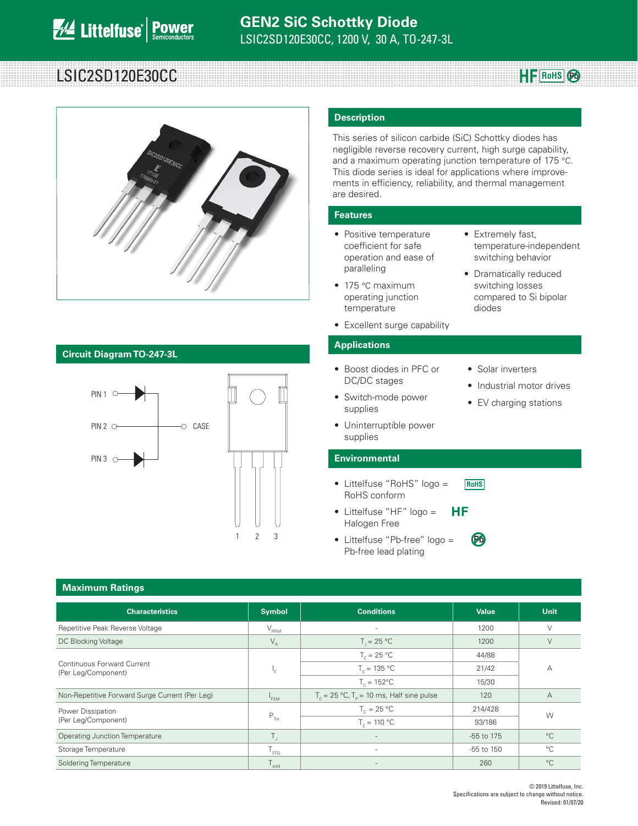# LSIC2SD120E30CC **RowardSLSIC2SD120E30CC**



### **Circuit Diagram TO-247-3L**



#### **Description**

This series of silicon carbide (SiC) Schottky diodes has negligible reverse recovery current, high surge capability, and a maximum operating junction temperature of 175 °C. This diode series is ideal for applications where improvements in efficiency, reliability, and thermal management are desired.

#### **Features**

- Positive temperature coefficient for safe operation and ease of paralleling
- 175 °C maximum operating junction temperature
- Excellent surge capability

### **Applications**

- Boost diodes in PFC or DC/DC stages
- Switch-mode power supplies
- Solar inverters

diodes

**Pb**

• Extremely fast,

temperature-independent switching behavior • Dramatically reduced switching losses compared to Si bipolar

**HF** RoHS  $\odot$ 

- Industrial motor drives
- EV charging stations
- Uninterruptible power supplies

#### **Environmental**

- Littelfuse "RoHS" logo = RoHS conform **RoHS**
- Littelfuse "HF" logo = ΗF Halogen Free
- Littelfuse "Pb-free" logo = Pb-free lead plating

| <b>Maximum Ratings</b>                            |                    |                                                                 |              |             |  |  |
|---------------------------------------------------|--------------------|-----------------------------------------------------------------|--------------|-------------|--|--|
| <b>Characteristics</b>                            | <b>Symbol</b>      | <b>Conditions</b>                                               | <b>Value</b> | <b>Unit</b> |  |  |
| Repetitive Peak Reverse Voltage                   | $V_{\rm RRM}$      | $\overline{a}$                                                  | 1200         | $\vee$      |  |  |
| DC Blocking Voltage                               | $V_R$              | $T_{1} = 25 °C$                                                 | 1200         | V           |  |  |
|                                                   |                    | $T_c = 25 °C$                                                   | 44/88        | А           |  |  |
| Continuous Forward Current<br>(Per Leg/Component) | ı.                 | $T_c = 135 °C$                                                  | 21/42        |             |  |  |
|                                                   |                    | $T_c = 152^{\circ}C$                                            | 15/30        |             |  |  |
| Non-Repetitive Forward Surge Current (Per Leg)    | <sup>1</sup> FSM   | $T_c = 25 \text{ °C}$ , $T_p = 10 \text{ ms}$ , Half sine pulse | 120          | А           |  |  |
| Power Dissipation                                 | $P_{\text{Tot}}$   | $T_c = 25 °C$                                                   | 214/428      | W           |  |  |
| (Per Leg/Component)                               |                    | $T_c = 110 °C$                                                  | 93/186       |             |  |  |
| <b>Operating Junction Temperature</b>             | $T_{\rm{L}}$       | -                                                               | -55 to 175   | $^{\circ}C$ |  |  |
| Storage Temperature                               | $\frac{1}{5}$ STG. | ٠                                                               | -55 to 150   | $^{\circ}C$ |  |  |
| Soldering Temperature                             | $T_{\rm sold}$     | -                                                               | 260          | $^{\circ}C$ |  |  |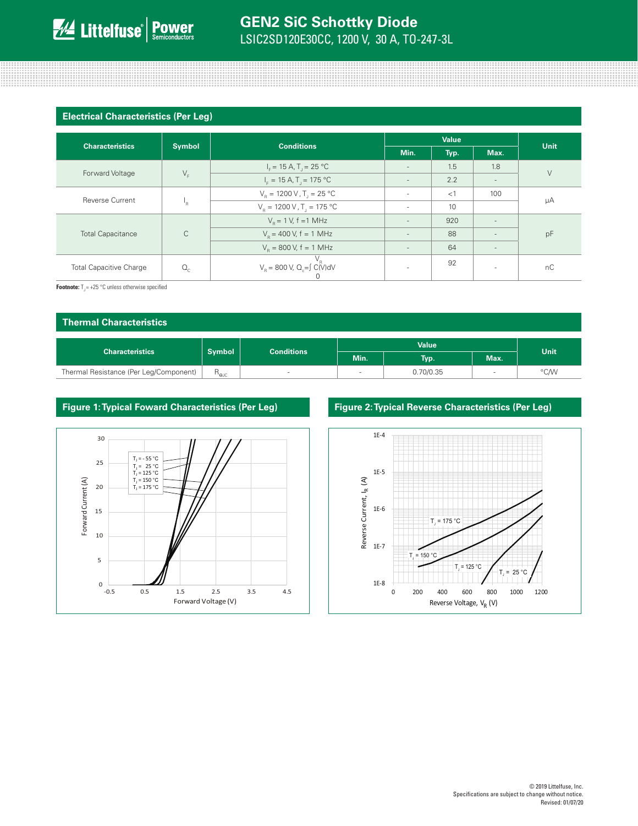#### **Electrical Characteristics (Per Leg)**

| <b>Characteristics</b>         |               | <b>Conditions</b>                                        | <b>Value</b>             |      |                          |             |
|--------------------------------|---------------|----------------------------------------------------------|--------------------------|------|--------------------------|-------------|
|                                | <b>Symbol</b> |                                                          | Min.                     | Typ. | Max.                     | <b>Unit</b> |
| Forward Voltage                | $V_F$         | $I_{F} = 15 A, T_{i} = 25 °C$                            | $\sim$                   | 1.5  | 1.8                      | $\vee$      |
|                                |               | $I_{\rm F} = 15 \text{ A}$ , T <sub>1</sub> = 175 °C     |                          | 2.2  |                          |             |
| <b>Reverse Current</b>         |               | $V_B = 1200 V, T_J = 25 °C$                              | ٠                        | <1   | 100                      | μA          |
|                                | ١R            | $V_{\rm B} = 1200 \, \text{V}$ , T <sub>1</sub> = 175 °C | ٠                        | 10   |                          |             |
| C<br><b>Total Capacitance</b>  |               | $V_{\rm B} = 1$ V, f = 1 MHz                             | $\overline{\phantom{a}}$ | 920  |                          | pF          |
|                                |               | $V_R$ = 400 V, f = 1 MHz                                 | $\overline{\phantom{a}}$ | 88   |                          |             |
|                                |               | $V_e = 800$ V, f = 1 MHz                                 | $\overline{\phantom{a}}$ | 64   | $\overline{\phantom{a}}$ |             |
| <b>Total Capacitive Charge</b> | $Q_{c}$       | $V_R$<br>$V_R$ = 800 V, Q <sub>c</sub> =∫ C(V)dV<br>U    | $\overline{\phantom{a}}$ | 92   | $\overline{\phantom{a}}$ | nC          |

and the contract of the contract of the contract of the contract of the contract of the contract of the contract of

**Footnote:**  $T_{\text{J}} = +25 \text{ °C}$  unless otherwise specified

| Thermal Characteristics                |                                    |   |                          |           |      |      |
|----------------------------------------|------------------------------------|---|--------------------------|-----------|------|------|
| <b>Characteristics</b>                 | <b>Symbol</b><br><b>Conditions</b> |   | <b>Value</b>             |           |      | Unit |
|                                        |                                    |   | Min.                     | Typ.      | Max. |      |
| Thermal Resistance (Per Leg/Component) | $R_{\rm euc}$                      | - | $\overline{\phantom{a}}$ | 0.70/0.35 |      | °C/W |



#### **Figure 1: Typical Foward Characteristics (Per Leg) Figure 2: Typical Reverse Characteristics (Per Leg)**

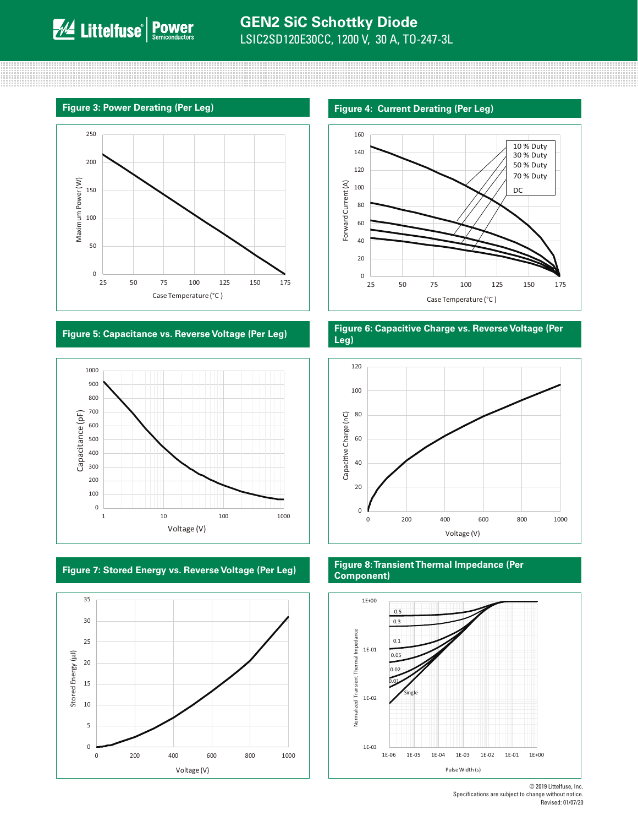





#### **Figure 3: Power Derating (Per Leg) Figure 4: Current Derating (Per Leg)**



#### **Figure 5: Capacitance vs. Reverse Voltage (Per Leg) Figure 6: Capacitive Charge vs. Reverse Voltage (Per Leg)**



#### **Figure 7: Stored Energy vs. Reverse Voltage (Per Leg) Figure 8: Transient Thermal Impedance (Per Component)**



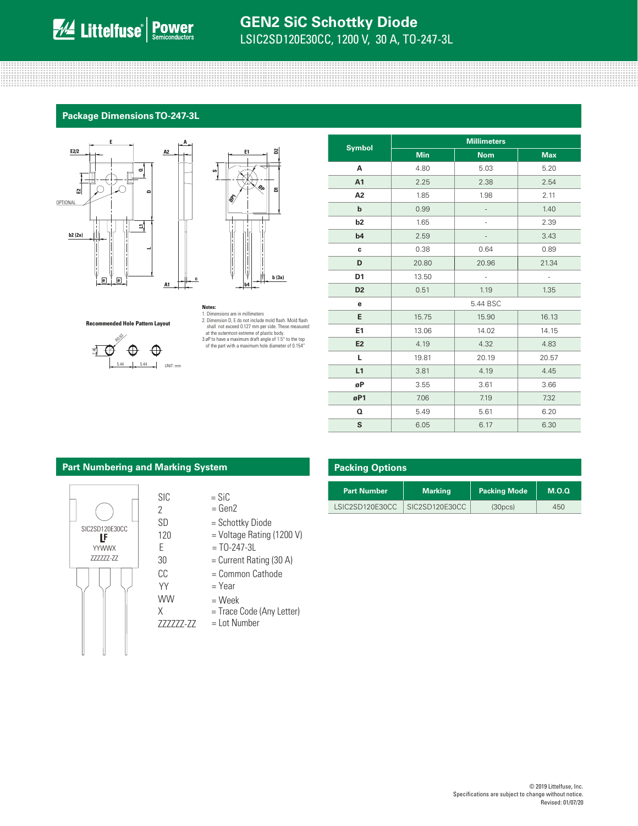## **GEN2 SiC Schottky Diode** LSIC2SD120E30CC, 1200 V, 30 A, TO-247-3L

the contract of the contract of the contract of the contract of the contract of the contract of the contract of 

### **Package Dimensions TO-247-3L**

**A**

**c**





**Recommended Hole Pattern Layout**



**Notes:**<br>1. Dimensions are in millimeters<br>2. Dimension D, E do not include mold flash. Mold flash shall not exceed 0.127 mm per side. These measured<br>at the outermost extreme of plastic body.<br>3.øP to have a maximum draft angle of 1.5° to the top<br>of the part with a maximum hole diameter of 0.154"

|                | <b>Millimeters</b> |            |                          |  |  |
|----------------|--------------------|------------|--------------------------|--|--|
| <b>Symbol</b>  | <b>Min</b>         | <b>Nom</b> | <b>Max</b>               |  |  |
| А              | 4.80               | 5.03       | 5.20                     |  |  |
| A1             | 2.25               | 2.38       | 2.54                     |  |  |
| A <sub>2</sub> | 1.85               | 1.98       | 2.11                     |  |  |
| b              | 0.99               |            | 1.40                     |  |  |
| b <sub>2</sub> | 1.65               |            | 2.39                     |  |  |
| b4             | 2.59               |            | 3.43                     |  |  |
| c              | 0.38               | 0.64       | 0.89                     |  |  |
| D              | 20.80              | 20.96      | 21.34                    |  |  |
| D <sub>1</sub> | 13.50              | ÷,         | $\overline{\phantom{a}}$ |  |  |
| D <sub>2</sub> | 0.51               | 1.19       | 1.35                     |  |  |
| е              |                    | 5.44 BSC   |                          |  |  |
| E              | 15.75              | 15.90      | 16.13                    |  |  |
| E <sub>1</sub> | 13.06              | 14.02      | 14.15                    |  |  |
| E <sub>2</sub> | 4.19               | 4.32       | 4.83                     |  |  |
| г              | 19.81              | 20.19      | 20.57                    |  |  |
| L1             | 3.81               | 4.19       | 4.45                     |  |  |
| øP             | 3.55               | 3.61       | 3.66                     |  |  |
| øP1            | 7.06               | 7.19       | 7.32                     |  |  |
| Q              | 5.49               | 5.61       | 6.20                     |  |  |
| S              | 6.05               | 6.17       | 6.30                     |  |  |

#### **Part Numbering and Marking System**

SIC 2 SD

120

YY WW X

CC

30



- $=$  SiC  $=$  Gen2
- = Schottky Diode
- = Voltage Rating (1200 V)
- $E = TO-247-3L$ 
	-
	- = Common Cathode
	- = Year
	- = Week
	-
- ZZZZZZ-ZZ
- 
- 
- 
- = Current Rating (30 A)
- 
- 
- 
- = Trace Code (Any Letter)
- = Lot Number

| <b>Packing Options</b> |                |                      |       |  |  |  |
|------------------------|----------------|----------------------|-------|--|--|--|
| <b>Part Number</b>     | <b>Marking</b> | <b>Packing Mode</b>  | M.O.Q |  |  |  |
| LSIC2SD120E30CC        | SIC2SD120E30CC | (30 <sub>DCS</sub> ) | 450   |  |  |  |